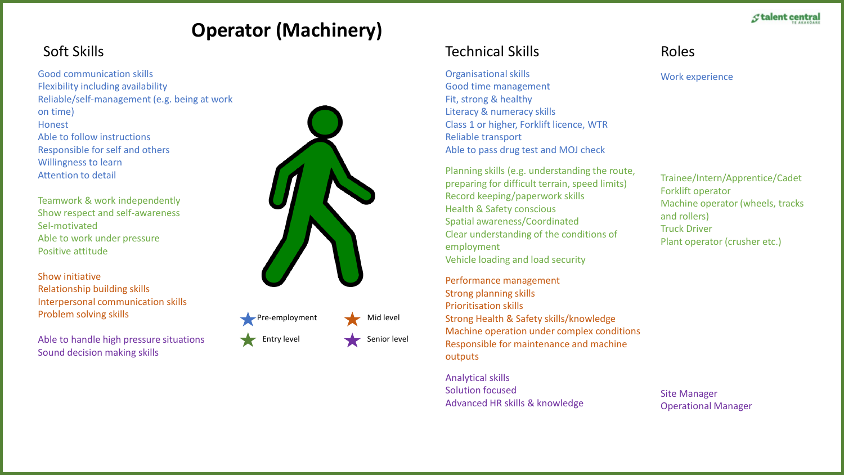# **Operator (Machinery)**

Good communication skills Flexibility including availability Reliable/self-management (e.g. being at work on time) **Honest** Able to follow instructions Responsible for self and others Willingness to learn Attention to detail

Teamwork & work independently Show respect and self-awareness Sel-motivated Able to work under pressure Positive attitude

Show initiative Relationship building skills Interpersonal communication skills Problem solving skills

Able to handle high pressure situations Sound decision making skills



Entry level Senior level

## Soft Skills Technical Skills

Organisational skills

Good time management Fit, strong & healthy Literacy & numeracy skills Class 1 or higher, Forklift licence, WTR Reliable transport Able to pass drug test and MOJ check

Planning skills (e.g. understanding the route, preparing for difficult terrain, speed limits) Record keeping/paperwork skills Health & Safety conscious Spatial awareness/Coordinated Clear understanding of the conditions of employment Vehicle loading and load security

Performance management Strong planning skills Prioritisation skills Strong Health & Safety skills/knowledge Machine operation under complex conditions Responsible for maintenance and machine outputs

Analytical skills Solution focused Advanced HR skills & knowledge Roles

Work experience

Trainee/Intern/Apprentice/Cadet Forklift operator Machine operator (wheels, tracks and rollers) Truck Driver Plant operator (crusher etc.)

Site Manager Operational Manager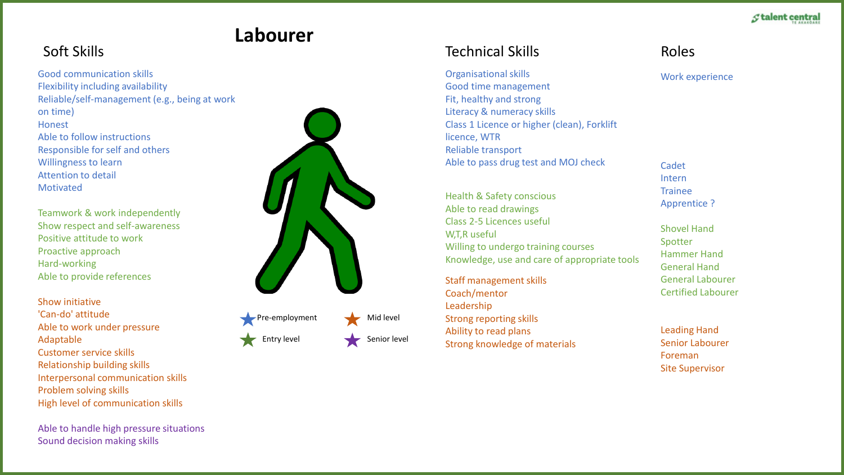### **Stalent central**

# **Labourer**

Good communication skills Flexibility including availability Reliable/self-management (e.g., being at work on time) **Honest** Able to follow instructions Responsible for self and others Willingness to learn Attention to detail Motivated

Teamwork & work independently Show respect and self-awareness Positive attitude to work Proactive approach Hard-working Able to provide references

Show initiative 'Can-do' attitude Able to work under pressure Adaptable Customer service skills Relationship building skills Interpersonal communication skills Problem solving skills High level of communication skills

Able to handle high pressure situations Sound decision making skills



- $\sqrt{P}$  Pre-employment Mid level Entry level Senior level
	- -

## Soft Skills Technical Skills

Organisational skills

Good time management Fit, healthy and strong Literacy & numeracy skills Class 1 Licence or higher (clean), Forklift licence, WTR Reliable transport Able to pass drug test and MOJ check

Health & Safety conscious Able to read drawings Class 2-5 Licences useful W,T,R useful Willing to undergo training courses Knowledge, use and care of appropriate tools

Staff management skills Coach/mentor Leadership Strong reporting skills Ability to read plans Strong knowledge of materials Roles

Work experience

Cadet Intern Trainee Apprentice ?

Shovel Hand Spotter Hammer Hand General Hand General Labourer Certified Labourer

Leading Hand Senior Labourer Foreman Site Supervisor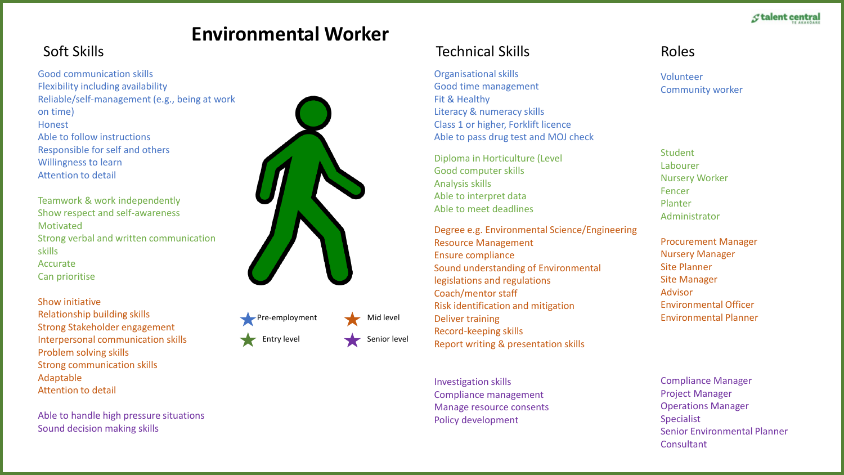# **Environmental Worker**

## Soft Skills Technical Skills

Good communication skills Flexibility including availability Reliable/self-management (e.g., being at work on time) **Honest** Able to follow instructions Responsible for self and others Willingness to learn Attention to detail

Teamwork & work independently Show respect and self-awareness Motivated Strong verbal and written communication skills Accurate Can prioritise

Show initiative

Relationship building skills Strong Stakeholder engagement Interpersonal communication skills Problem solving skills Strong communication skills Adaptable Attention to detail

Able to handle high pressure situations Sound decision making skills



Pre-employment  $\blacktriangleright$  Mid level Entry level Senior level



Investigation skills Compliance management Manage resource consents Policy development

Organisational skills Good time management

Literacy & numeracy skills

Class 1 or higher, Forklift licence Able to pass drug test and MOJ check

Diploma in Horticulture (Level

Degree e.g. Environmental Science/Engineering

Sound understanding of Environmental

Good computer skills

Able to interpret data Able to meet deadlines

Resource Management Ensure compliance

Coach/mentor staff

Deliver training Record-keeping skills

legislations and regulations

Risk identification and mitigation

Report writing & presentation skills

Fit & Healthy

Analysis skills

### Roles

Volunteer Community worker

**Student** Labourer Nursery Worker Fencer Planter Administrator

Procurement Manager Nursery Manager Site Planner Site Manager Advisor Environmental Officer Environmental Planner

Compliance Manager Project Manager Operations Manager Specialist Senior Environmental Planner **Consultant**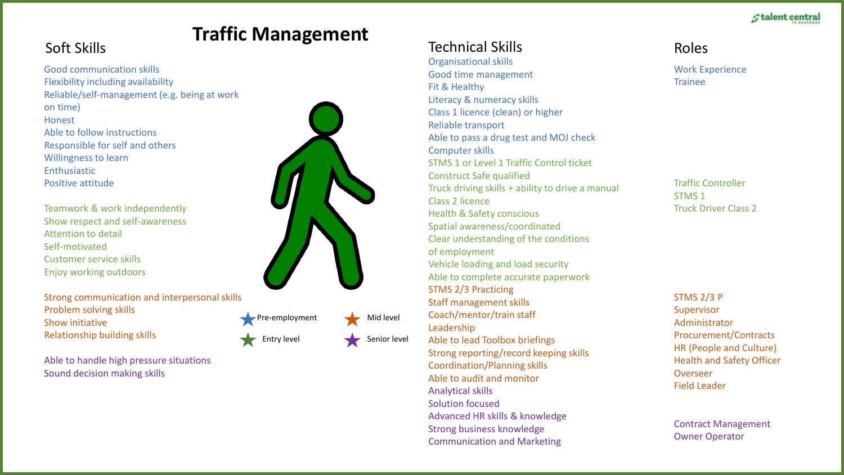### **Stalent central**

### Soft Skills Technical Skills **Traffic Management**

### Good communication skills Flexibility including availability Reliable/self-management (e.g. being at work on time) **Honest** Able to follow instructions Responsible for self and others Willingness to learn Enthusiastic Positive attitude

Teamwork & work independently Show respect and self-awareness Attention to detail Self-motivated Customer service skills Enjoy working outdoors

Strong communication and interpersonal skills Problem solving skills Show initiative Relationship building skills



Pre-employment  $\overline{\phantom{a}}$  Mid level

Entry level Senior level

Able to handle high pressure situations Sound decision making skills

Organisational skills Good time management Fit & Healthy

Literacy & numeracy skills Class 1 licence (clean) or higher Reliable transport Able to pass a drug test and MOJ check Computer skills STMS 1 or Level 1 Traffic Control ticket Construct Safe qualified Truck driving skills + ability to drive a manual Class 2 licence Health & Safety conscious Spatial awareness/coordinated Clear understanding of the conditions of employment Vehicle loading and load security Able to complete accurate paperwork STMS 2/3 Practicing Staff management skills Coach/mentor/train staff Leadership Able to lead Toolbox briefings Strong reporting/record keeping skills Coordination/Planning skills Able to audit and monitor Analytical skills Solution focused

Advanced HR skills & knowledge Strong business knowledge Communication and Marketing

Roles

Work Experience Trainee

Traffic Controller STMS 1 Truck Driver Class 2

STMS 2/3 P Supervisor Administrator Procurement/Contracts HR (People and Culture) Health and Safety Officer Overseer Field Leader

Contract Management Owner Operator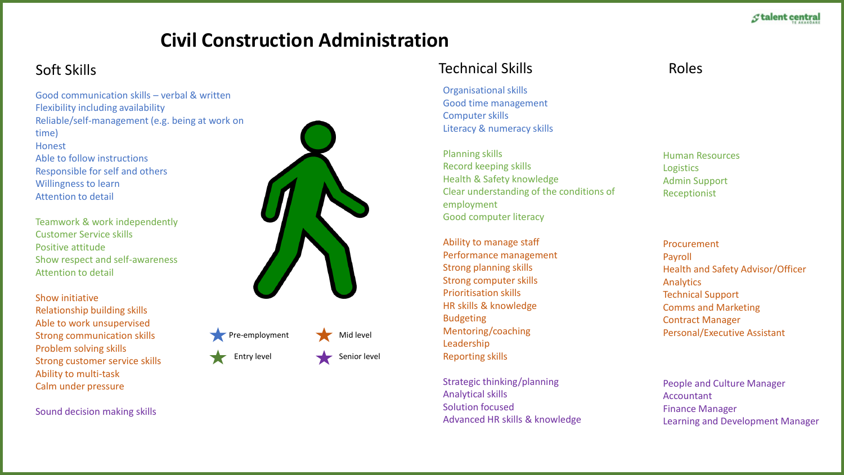# **Civil Construction Administration**

Good communication skills – verbal & written Flexibility including availability Reliable/self-management (e.g. being at work on time) **Honest** Able to follow instructions Responsible for self and others Willingness to learn Attention to detail

Teamwork & work independently Customer Service skills Positive attitude Show respect and self-awareness Attention to detail

Show initiative Relationship building skills Able to work unsupervised Strong communication skills Problem solving skills Strong customer service skills Ability to multi-task Calm under pressure

Sound decision making skills





Soft Skills Technical Skills

Organisational skills Good time management Computer skills Literacy & numeracy skills

Planning skills Record keeping skills Health & Safety knowledge Clear understanding of the conditions of employment Good computer literacy

Ability to manage staff Performance management Strong planning skills Strong computer skills Prioritisation skills HR skills & knowledge Budgeting Mentoring/coaching Leadership Reporting skills

Strategic thinking/planning Analytical skills Solution focused Advanced HR skills & knowledge

### Roles

Human Resources **Logistics** Admin Support Receptionist

Procurement Payroll Health and Safety Advisor/Officer Analytics Technical Support Comms and Marketing Contract Manager Personal/Executive Assistant

People and Culture Manager Accountant Finance Manager Learning and Development Manager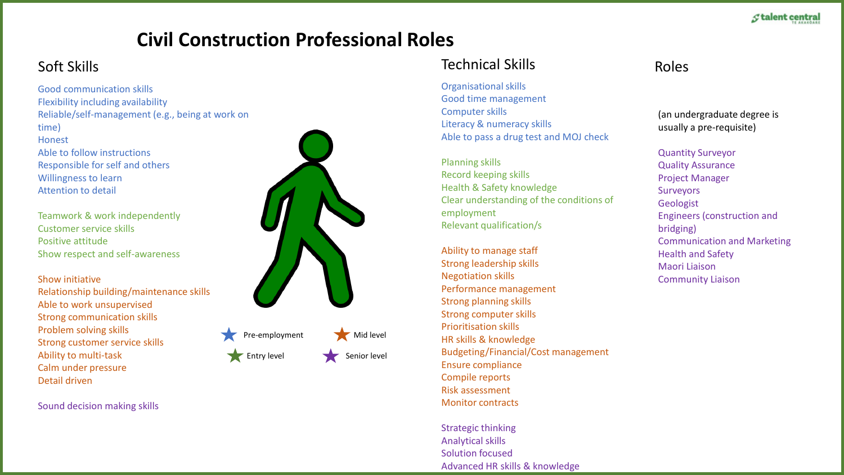# **Civil Construction Professional Roles**

Good communication skills Flexibility including availability Reliable/self-management (e.g., being at work on time) Honest Able to follow instructions Responsible for self and others Willingness to learn Attention to detail

Teamwork & work independently Customer service skills Positive attitude Show respect and self-awareness

### Show initiative

Relationship building/maintenance skills Able to work unsupervised Strong communication skills Problem solving skills Strong customer service skills Ability to multi-task Calm under pressure Detail driven

Sound decision making skills



Entry level Senior level

## Soft Skills Technical Skills

Organisational skills Good time management Computer skills Literacy & numeracy skills Able to pass a drug test and MOJ check

Planning skills Record keeping skills Health & Safety knowledge Clear understanding of the conditions of employment Relevant qualification/s

Ability to manage staff Strong leadership skills Negotiation skills Performance management Strong planning skills Strong computer skills Prioritisation skills HR skills & knowledge Budgeting/Financial/Cost management Ensure compliance Compile reports Risk assessment Monitor contracts

Strategic thinking Analytical skills Solution focused Advanced HR skills & knowledge

## Roles

(an undergraduate degree is usually a pre-requisite)

Quantity Surveyor Quality Assurance Project Manager Surveyors Geologist Engineers (construction and bridging) Communication and Marketing

Health and Safety Maori Liaison Community Liaison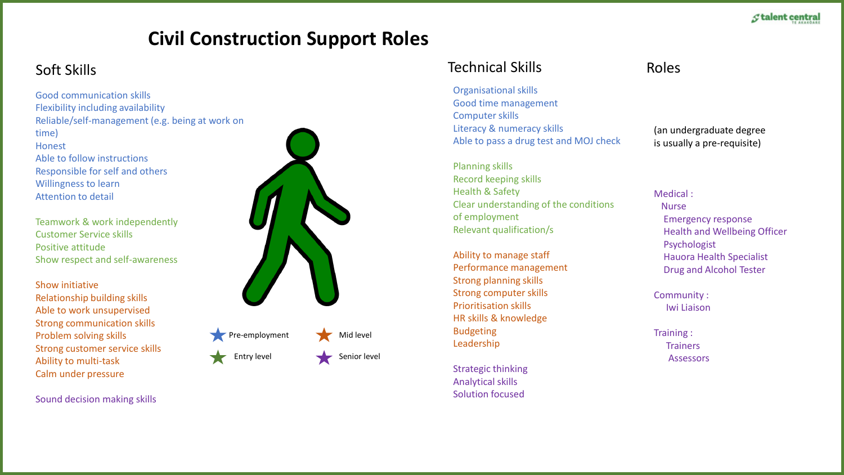# **Civil Construction Support Roles**

Good communication skills Flexibility including availability Reliable/self-management (e.g. being at work on time) **Honest** Able to follow instructions Responsible for self and others Willingness to learn Attention to detail

Teamwork & work independently Customer Service skills Positive attitude Show respect and self-awareness

Show initiative Relationship building skills Able to work unsupervised Strong communication skills Problem solving skills Strong customer service skills Ability to multi-task Calm under pressure

Sound decision making skills



Entry level Senior level

## Soft Skills Technical Skills

Organisational skills Good time management Computer skills Literacy & numeracy skills Able to pass a drug test and MOJ check

Planning skills Record keeping skills Health & Safety Clear understanding of the conditions of employment Relevant qualification/s

Ability to manage staff Performance management Strong planning skills Strong computer skills Prioritisation skills HR skills & knowledge Budgeting Leadership

Strategic thinking Analytical skills Solution focused

## Roles

(an undergraduate degree is usually a pre-requisite)

Medical : Nurse Emergency response Health and Wellbeing Officer Psychologist Hauora Health Specialist Drug and Alcohol Tester

Community : Iwi Liaison

Training : **Trainers** Assessors